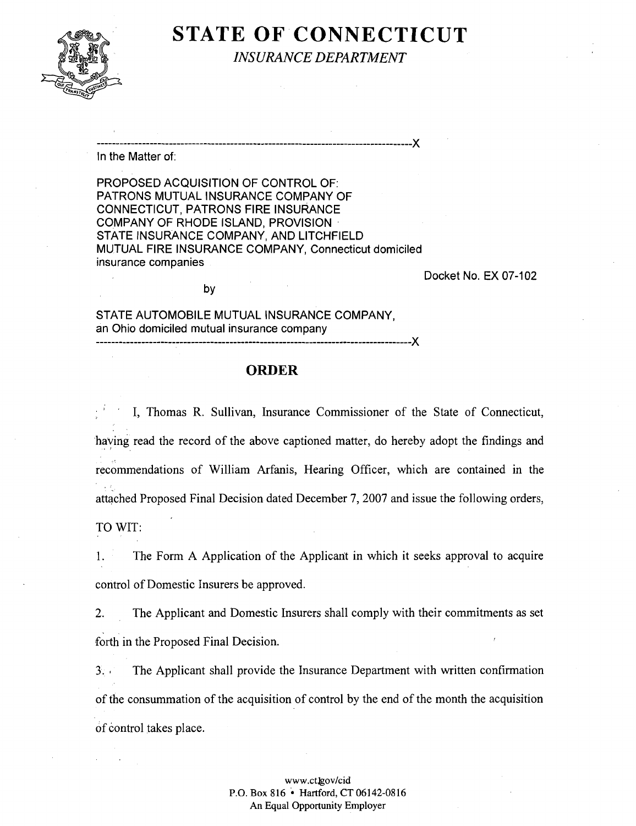

## **STATE OF CONNECTICUT**  *INSURANCE DEPARTMENT*

................................................................................... **X** 

In the Matter of:

PROPOSED ACQUISITION OF CONTROL OF: PATRONS MUTUAL INSURANCE COMPANY OF CONNECTICUT, PATRONS FlRE INSURANCE COMPANY OF RHODE ISLAND, PROVISION STATE INSURANCE COMPANY, AND LlTCHFlELD MUTUAL FlRE INSURANCE COMPANY, Connecticut domiciled insurance companies

Docket No. EX 07-102

STATE AUTOMOBILE MUTUAL INSURANCE COMPANY, an Ohio domiciled mutual insurance company ................................................................................... **X** 

by

## **ORDER**

I, Thomas R. Sullivan, Insurance Commissioner of the State of Connecticut, having read the record of the above captioned matter, do hereby adopt the findings and recommendations of William Arfanis, Hearing Officer, which are contained in the attached Proposed Final Decision dated December 7,2007 and issue the following orders, TO WIT:

I. The Form A Application of the Applicant in which it seeks approval to acquire control of Domestic Insurers be approved.

2. The Applicant and Domestic Insurers shall comply with their commitments as set forth in the Proposed Final Decision.

3. The Applicant shall provide the Insurance Department with written confirmation of the consummation of the acquisition of control by the end of the month the acquisition of control takes place.

#### www.ctlgov/cid P.O. Box 816 \* Hartford, CT 06142-08 16 An Equal Opportunity Employer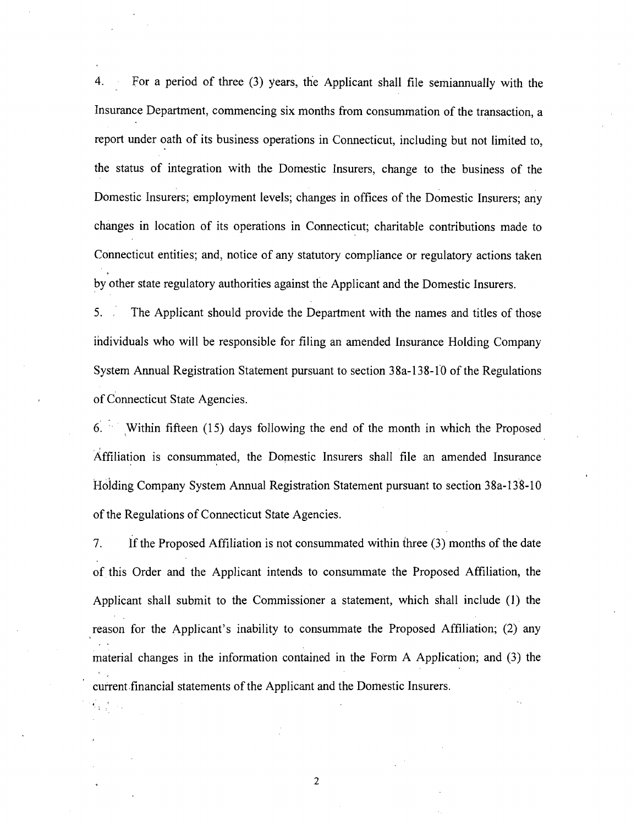4. For a period of three (3) years, the Applicant shall file semiannually with the Insurance Department, commencing six months from consummation of the transaction, a report under oath of its business operations in Connecticut, including but not limited to, the status of integration with the Domestic Insurers, change to the business of the Domestic Insurers; employment levels; changes in offices of the Domestic Insurers; any changes in location of its operations in Connecticut; charitable contributions made to Connecticut entities; and, notice of any statutory compliance or regulatory actions taken by other state regulatory authorities against the Applicant and the Domestic Insurers.

5. The Applicant should provide the Department with the names and titles of those individuals who will be responsible for filing an amended Insurance Holding Company System Annual Registration Statement pursuant to section 38a-138-10 of the Regulations of Connecticut State Agencies.

6. Within fifteen (15) days following the end of the month in which the Proposed Affiliation is consummated, the Domestic Insurers shall file an amended Insurance Holding Company System Annual Registration Statement pursuant to section 38a-138-10 of the Regulations of Connecticut State Agencies.

7. If the Proposed Affiliation is not consummated within three (3) months of the date of this Order and the Applicant intends to consummate the Proposed Affiliation, the Applicant shall submit to the Commissioner a statement, which shall include (1) the reason for the Applicant's inability to consummate the Proposed Affiliation; (2) any material changes in the information contained in the Form A Application; and (3) the current financial statements of the Applicant and the Domestic Insurers.

 $\boldsymbol{2}$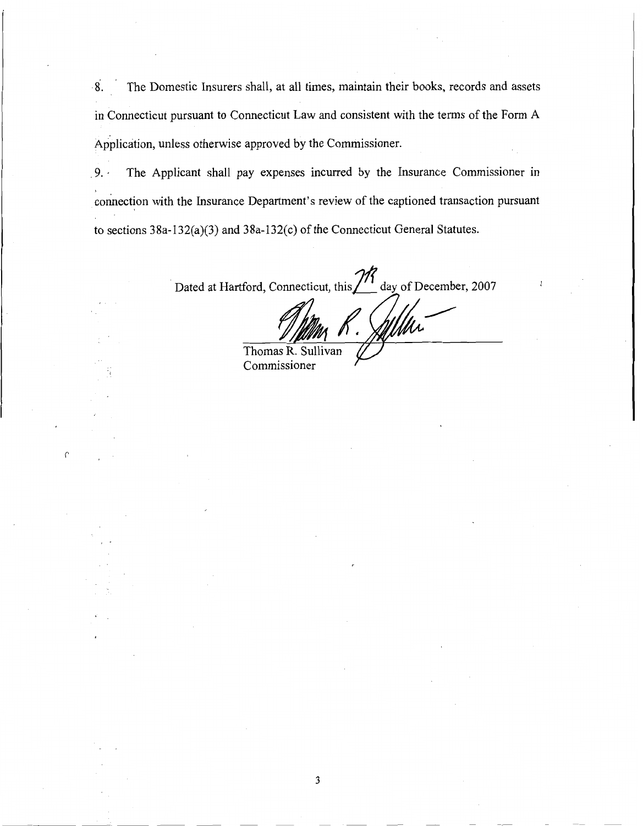**8.** The Domestic Insurers shall, at all times, maintain their books, records and assets in Connecticut pursuant to Connecticut Law and consistent with the terms of the Form A Application, unless otherwise approved by the Commissioner.

9. . The Applicant shall pay expenses incurred by the Insurance Commissioner in connection with the Insurance Department's review of the captioned transaction pursuant to sections 3 8a- 132(a)(3) and 3 8a-132(c) of the Connecticut General Statutes.

Dated at Hartford, Connecticut, this  $\frac{1}{1}$  day of December, 2007 . **,y"--- 1** // **ry** 

Thomas  $\overline{R}$ . livan Commissioner *P*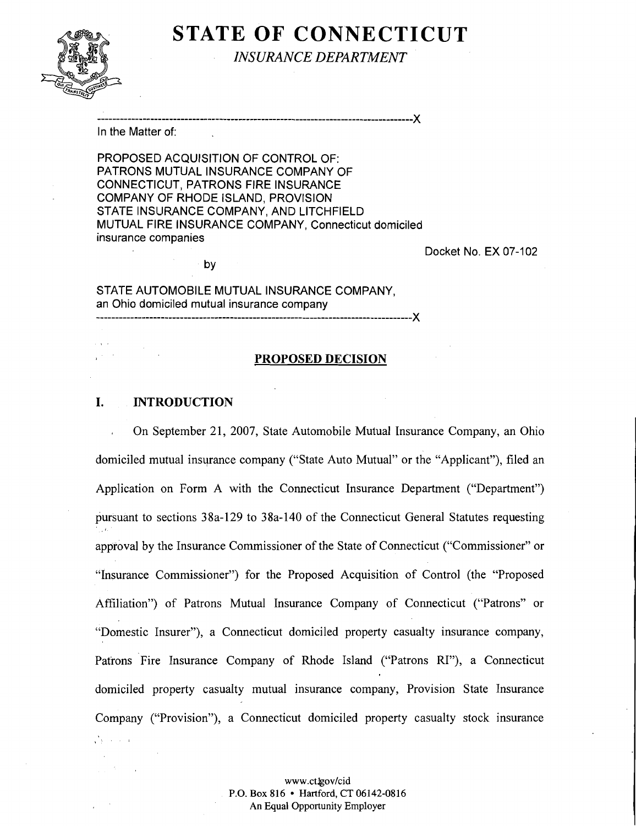# **STATE OF CONNECTICUT**



*INSURANCE DEPARTMENT* 

................................................................................... X

In the Matter of:

PROPOSED ACQUISITION OF CONTROL OF: PATRONS MUTUAL INSURANCE COMPANY OF CONNECTICUT, PATRONS FlRE INSURANCE COMPANY OF RHODE ISLAND, PROVISION STATE INSURANCE COMPANY, AND LITCHFIELD MUTUAL FlRE INSURANCE COMPANY, Connecticut domiciled insurance companies

Docket No. EX 07-102

by

STATE AUTOMOBILE MUTUAL INSURANCE COMPANY, an Ohio domiciled mutual insurance company ................................................................................... X

#### **PROPOSED DECISION**

### **I. INTRODUCTION**

 $\sim$ 

On September 21, 2007, State Automobile Mutual Insurance Company, an Ohio domiciled mutual insurance company ("State Auto Mutual" or the "Applicant"), filed an Application on Form A with the Connecticut Insurance Department ("Department") pursuant to sections 38a-129 to 38a-140 of the Connecticut General Statutes requesting approval by the Insurance Commissioner of the State of Connecticut ("Commissioner" or "Insurance Commissioner") for the Proposed Acquisition of Control (the "Proposed Affiliation") of Patrons Mutual Insurance Company of Connecticut ("Patrons" or "Domestic Insurer"), a Connecticut domiciled property casualty insurance company, Patrons Fire Insurance Company of Rhode Island ("Patrons RI"), a Connecticut domiciled property casualty mutual insurance company, Provision State Insurance Company ("Provision"), a Connecticut domiciled property casualty stock insurance  $\frac{1}{2}$  ,  $\frac{1}{2}$  ,  $\frac{1}{2}$  ,  $\frac{1}{2}$  ,  $\frac{1}{2}$  ,  $\frac{1}{2}$ 

> **www.ctJgov/cid P.O. Box 816 Hartford, CT 06142-0816 An Equal Opportunity Employer**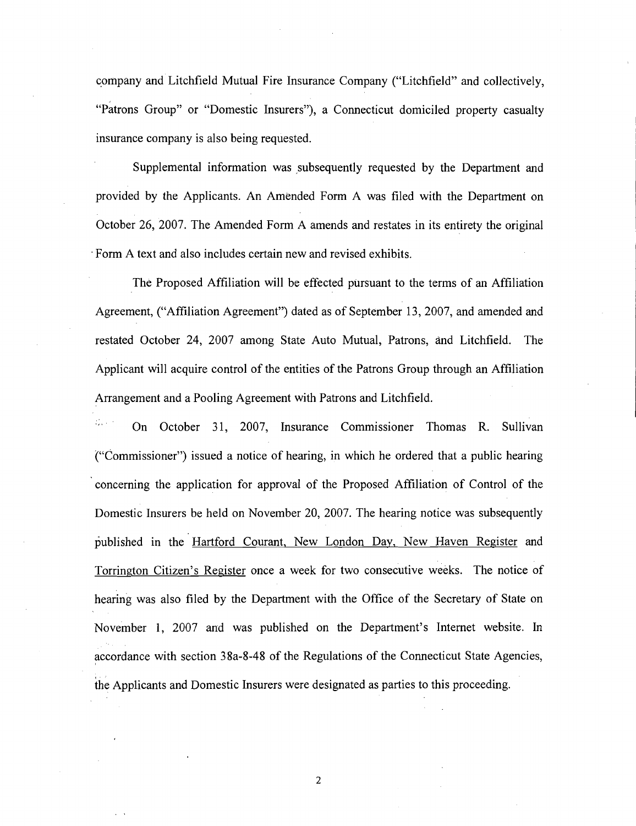company and Litchfield Mutual Fire Insurance Company ("Litchfield" and collectively, "Patrons Group" or "Domestic Insurers"), a Connecticut domiciled property casualty insurance company is also being requested.

Supplemental information was subsequently requested by the Department and provided by the Applicants. An Amended Form A was filed with the Department on October 26, 2007. The Amended Form A amends and restates in its entirety the original Form A text and also includes certain new and revised exhibits.

The Proposed Affiliation will be effected pursuant to the terms of an Affiliation Agreement, ("Affiliation Agreement") dated as of September 13, 2007, and amended and restated October 24, 2007 among State Auto Mutual, Patrons, and Litchfield. The Applicant will acquire control of the entities of the Patrons Group through an Affiliation Arrangement and a Pooling Agreement with Patrons and Litchfield.

On October 31, 2007, Insurance Commissioner Thomas R. Sullivan ("Commissioner") issued a notice of hearing, in which he ordered that a public hearing concerning the application for approval of the Proposed Affiliation of Control of the Domestic Insurers be held on November 20, 2007. The hearing notice was subsequently published in the Hartford Courant, New London Day, New Haven Register and Torrington Citizen's Register once a week for two consecutive weeks. The notice of hearing was also filed by the Department with the Office of the Secretary of State on November 1, 2007 and was published on the Department's Internet website. In accordance with section 38a-8-48 of the Regulations of the Connecticut State Agencies, the Applicants and Domestic Insurers were designated as parties to this proceeding.

 $\boldsymbol{2}$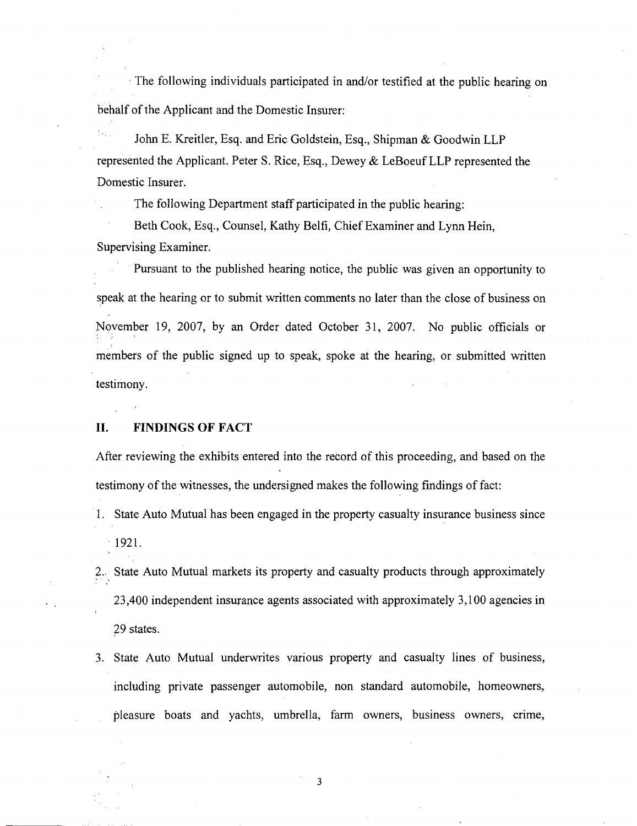The following individuals participated in and/or testified at the public hearing on behalf of the Applicant and the Domestic Insurer:

John E. Kreitler, Esq. and Eric Goldstein, Esq., Shipman & Goodwin LLP represented the Applicant. Peter S. Rice, Esq., Dewey & LeBoeuf LLP represented the Domestic Insurer.

The following Department staff participated in the public hearing:

Beth Cook, Esq., Counsel, Kathy Belfi, Chief Examiner and Lynn Hein, Supervising Examiner.

Pursuant to the published hearing notice, the public was given an opportunity to speak at the hearing or to submit written comments no later than the close of business on November 19, 2007, by an Order dated October 31, 2007. No public officials or members of the public signed up to speak, spoke at the hearing, or submitted written testimony.

#### **11.** FINDINGS OF FACT

After reviewing the exhibits entered into the record of this proceeding, and based on the testimony of the witnesses, the undersigned makes the following findings of fact:

- 1. State Auto Mutual has been engaged in the property casualty insurance business since  $-1921.$
- 2.. State Auto Mutual markets its property and casualty products through approximately 23,400 independent insurance agents associated with approximately 3,100 agencies in 29 states.
- 3. State Auto Mutual underwrites various property and casualty lines of business, including private passenger automobile, non standard automobile, homeowners, pleasure boats and yachts, umbrella, farm owners, business owners, crime,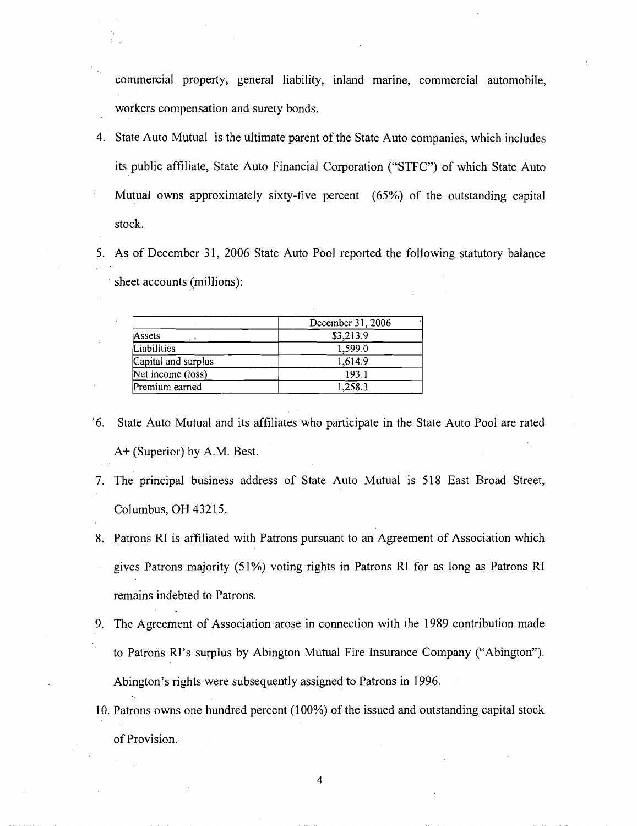commercial property, general liability, inland marine, commercial automobile, workers compensation and surety bonds.

- 4. State Auto Mutual is the ultimate parent of the State Auto companies, which includes its public affiliate, State Auto Financial Corporation ("STFC") of which State Auto Mutual owns approximately sixty-five percent (65%) of the outstanding capital stock.
- 5. As of December 31, 2006 State Auto Pool reported the following statutory balance sheet accounts (millions):

|                     | December 31, 2006 |
|---------------------|-------------------|
| Assets              | \$3,213.9         |
| Liabilities         | 1,599.0           |
| Capital and surplus | 1,614.9           |
| Net income (loss)   | 193.1             |
| Premium earned      | 1,258.3           |

- '6. State Auto Mutual and its affiliates who participate in the State Auto Pool are rated A+ (Superior) by A.M. Best.
- 7. The principal business address of State Auto Mutual is 518 East Broad Street, Columbus, OH 43215.
- 8. Patrons RI is affiliated with Patrons pursuant to an Agreement of Association which gives Patrons majority (51%) voting rights in Patrons **RI** for as long as Patrons RI remains indebted to Patrons.
- 9. The Agreement of Association arose in connection with the 1989 contribution made to Patrons RI's surplus by Abington Mutual Fire Insurance Company ("Abington"). Abington's rights were subsequently assigned to Patrons in 1996.
- 10. Patrons owns one hundred percent (100%) of the issued and outstanding capital stock of Provision..

 $\overline{4}$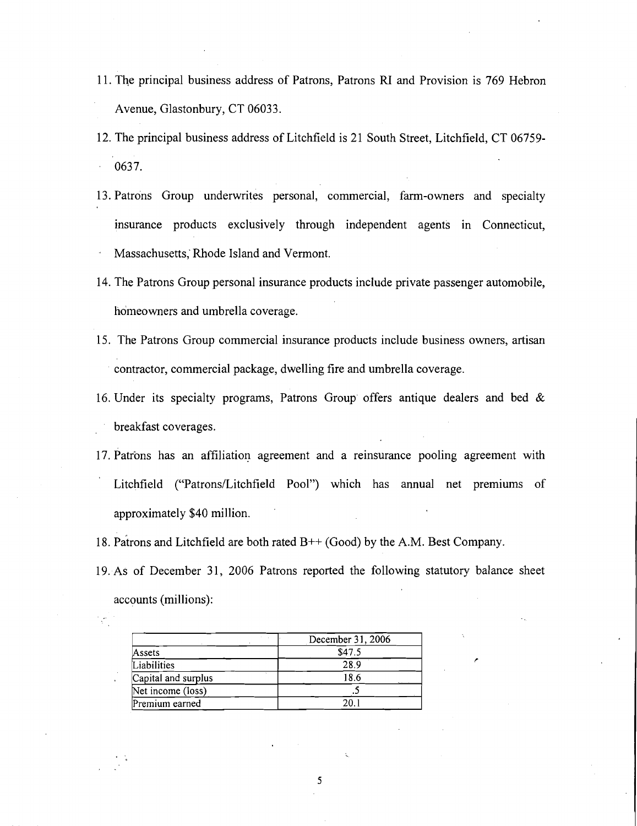- 11. The principal business address of Patrons, Patrons RI and Provision is 769 Hebron Avenue, Glastonbury, CT 06033.
- 12. The principal business address of Litchfield is 21 South Street, Litchfield, CT 06759- 0637.
- 13. Patrons Group underwrites personal, commercial, farm-owners and specialty insurance products exclusively through independent agents in Connecticut, Massachusetts,' Rhode Island and Vermont.
- 14. The Patrons Group personal insurance products include private passenger automobile, homeowners and umbrella coverage.
- 15. The Patrons Group commercial insurance products include business owners, artisan contractor, commercial package, dwelling fire and umbrella coverage.
- 16. Under its specialty programs, Patrons Group offers antique dealers and bed & breakfast coverages.
- 17. Patrons has an affiliation agreement and a reinsurance pooling agreement with Litchfield ("Patrons/Litchfield Pool") which has annual net premiums of approximately \$40 million.
- 18. patrons and Litchfield are both rated B++ (Good) by the A.M. Best Company.
- 19. As of December 31, 2006 Patrons reported the following statutory balance sheet accounts (millions):

|                     | December 31, 2006 |
|---------------------|-------------------|
| Assets              | \$47.5            |
| Liabilities         | 28.9              |
| Capital and surplus | 18.6              |
| Net income (loss)   |                   |
| Premium earned      |                   |

.

 $\mathcal{L}_1$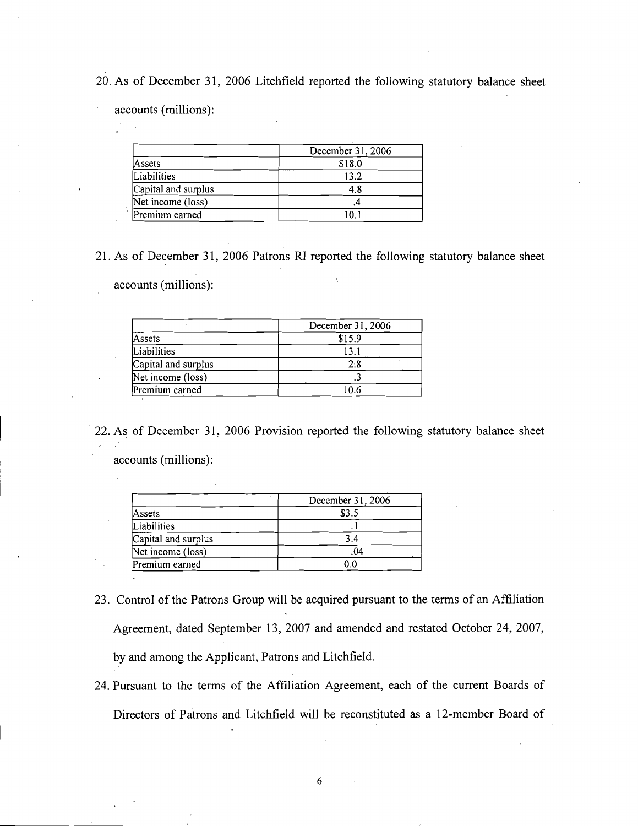20. As of December 31, 2006 Litchfield reported the following statutory balance sheet

accounts (millions):

|                     | December 31, 2006 |
|---------------------|-------------------|
| Assets              | \$18.0            |
| Liabilities         | 13.2              |
| Capital and surplus | 4.8               |
| Net income (loss)   |                   |
| Premium earned      |                   |

21. As of December 3 1, 2006 Patrons **RI** reported the following statutory balance sheet

accounts (millions):

|                     | December 31, 2006 |
|---------------------|-------------------|
| Assets              | \$15.9            |
| Liabilities         | 13.1              |
| Capital and surplus | 2.8               |
| Net income (loss)   |                   |
| Premium earned      | 10.6              |

22. As of December 31, 2006 Provision reported the following statutory balance sheet accounts (millions):

|                     | December 31, 2006 |
|---------------------|-------------------|
| Assets              | \$3.5             |
| Liabilities         |                   |
| Capital and surplus | 3.4               |
| Net income (loss)   | .04               |
| Premium earned      | 0.0               |

- 23. Control of the- Patrons Group will be acquired pursuant to the terms of an Affiliation Agreement, dated September 13, 2007 and amended and restated October 24, 2007, by and among the Applicant, Patrons and Litchfield.
- 24. Pursuant to the terms of the Affiliation Agreement, each of the current Boards of Directors of Patrons and Litchfield will be reconstituted as a 12-member Board of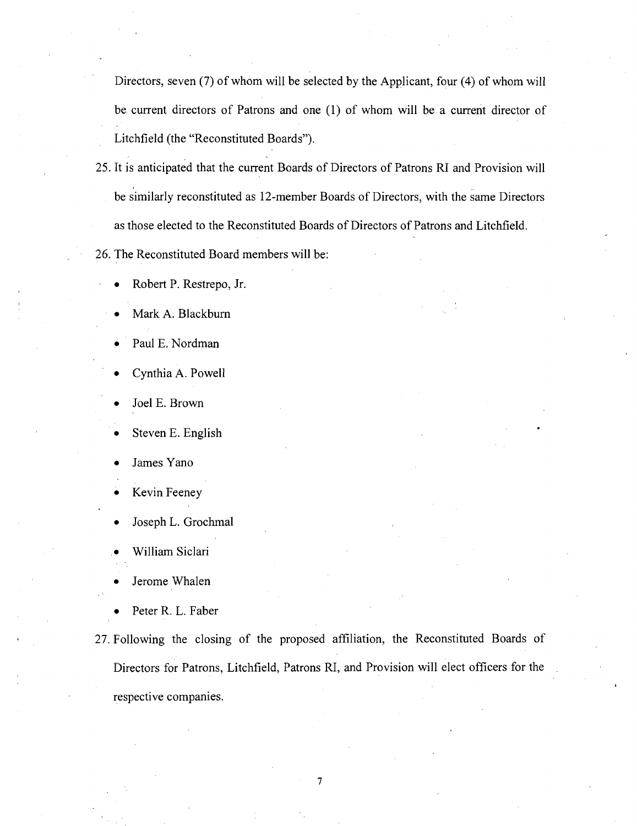Directors, seven (7) of whom will be selected by the Applicant, four (4) of whom will be current directors of Patrons and one (1) of whom will be a current director of Litchfield (the "Reconstituted Boards").

25. It is anticipated that the current Boards of Directors of Patrons RI and Provision will be similarly reconstituted as 12-member Boards of Directors, with the same Directors as those elected to the Reconstituted Boards of Directors of Patrons and Litchfield.

26. The Reconstituted Board members will be:

- Robert P. Restrepo, Jr.
- Mark A. Blackbum
- Paul E. Nordman
- Cynthia A. Powell
- Joel E. Brown
- Steven E. English
- James Yano
- Kevin Feeney
- Joseph L. Grochrnal
- . William Siclari
- Jerome Whalen
- Peter R. L. Faber
- <sup>+</sup>27. Following the closing of the proposed affiliation, the Reconstituted Boards of Directors for Patrons, Litchfield, Patrons RI, and Provision will elect officers for the respective companies.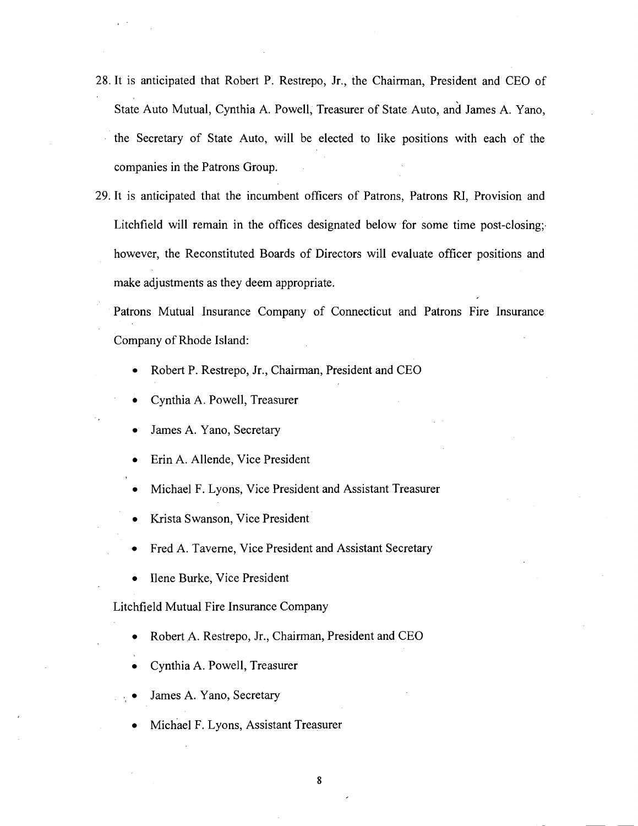- 28. It is anticipated that Robert P. Restrepo, Jr., the Chairman, President and CEO of State Auto Mutual, Cynthia A. Powell, Treasurer of State Auto, and James A. Yano, the Secretary of State Auto, will be elected to like positions with each of the companies in the Patrons Group.
- 29. It is anticipated that the incumbent officers of Patrons, Patrons RI, Provision and Litchfield will remain in the offices designated below for some time post-closing. however, the Reconstituted Boards of Directors will evaluate officer positions and make adjustments as they deem appropriate.

Patrons Mutual Insurance Company of Connecticut and Patrons Fire Insurance Company of Rhode Island:

- Robert P. Restrepo, Jr., Chairman, President and CEO
- Cynthia A. Powell, Treasurer
- James A. Yano, Secretary
- Erin A. Allende, Vice President
- Michael F. Lyons, Vice President and Assistant Treasurer
- Krista Swanson, Vice President
- Fred A. Taverne, Vice President and Assistant Secretary
- Ilene Burke, Vice President

Litchfield Mutual Fire Insurance Company

- Robert A. Restrepo, Jr., Chairman, President and CEO
- Cynthia A. Powell, Treasurer
- James A. Yano, Secretary
- Michael F. Lyons, Assistant Treasurer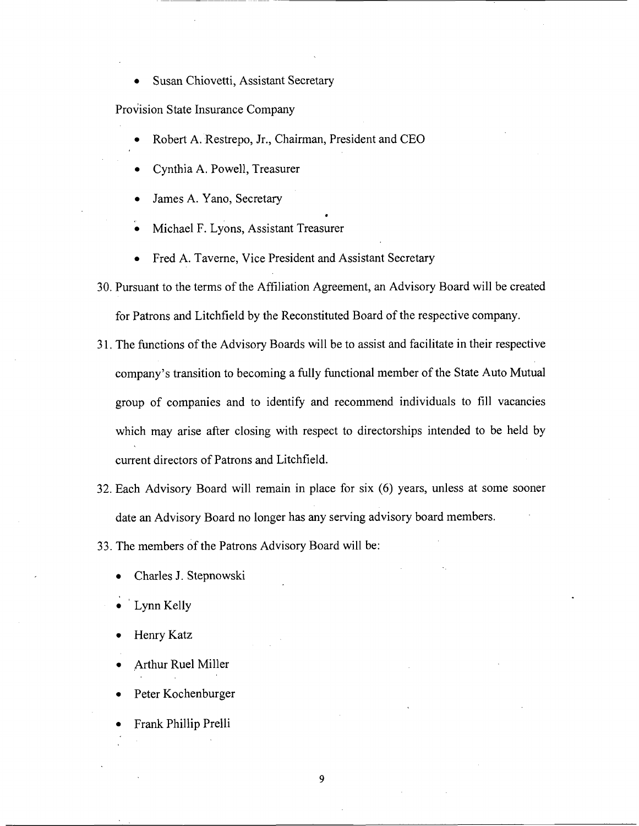Susan Chiovetti, Assistant Secretary

Provision State Insurance Company

- Robert A. Restrepo, Jr., Chairman, President and CEO
- Cynthia A. Powell, Treasurer  $\bullet$
- James A. Yano, Secretary
- Michael F. Lyons, Assistant Treasurer
- Fred A. Taverne, Vice President and Assistant Secretary
- 30. Pursuant to the terms of the Affiliation Agreement, an Advisory Board will be created for Patrons and Litchfield by the Reconstituted Board of the respective company.

\*

- 3 1. The functions of the Advisory Boards will be to assist and facilitate in their respective company's transition to becoming a fully functional member of the State Auto Mutual group of companies and to identify and recommend individuals to fill vacancies which may arise after closing with respect to directorships intended to be held by current directors of Patrons and Litchfield.
- 32. Each Advisory Board will remain in place for six *(6)* years, unless at some sooner date an Advisory Board no longer has any serving advisory board members.

33. The members of the Patrons Advisory Board will be:

- Charles J. Stepnowski
- Lynn Kelly
- Henry Katz
- Arthur Rue1 Miller
- Peter Kochenburger
- Frank Phillip Prelli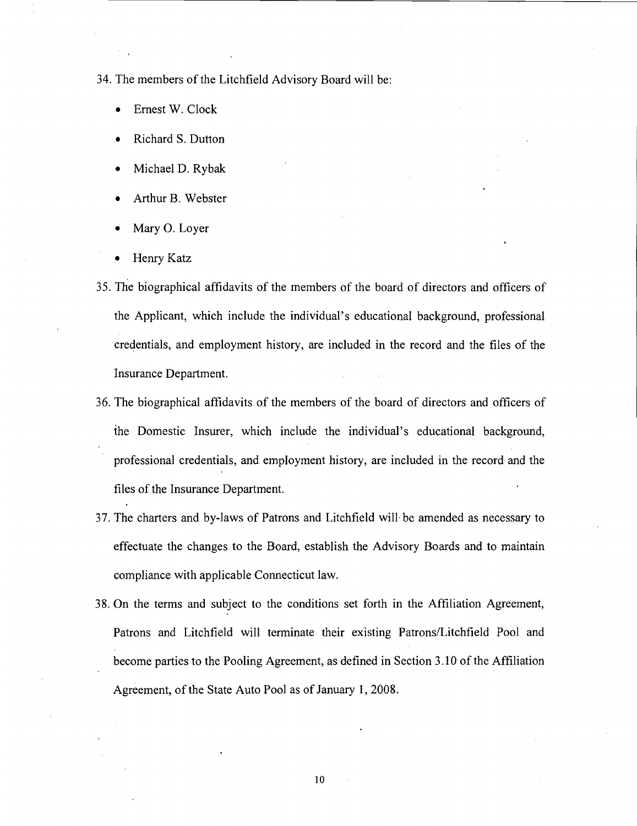34. The members of the Litchfield Advisory Board will be:

- Ernest W. Clock
- Richard S. Dutton
- Michael D. Rybak
- Arthur B. Webster
- Mary 0. Loyer
- Henry Katz
- 35. he biographical affidavits of the members of the board of directors and officers of the Applicant, which include the individual's educational background, professional credentials, and employment history, are included in the record and the files of the Insurance Department.
- 36. The biographical affidavits of the members of the board of directors and officers of the Domestic Insurer, which include the individual's educational background, professional credentials, and employment history, are included in the record and the files of the Insurance Department.
- 37. The charters and by-laws of Patrons and Litchfield will. be amended as necessary to effectuate the changes to the Board, establish the Advisory Boards and to maintain compliance with applicable Connecticut law.
- 38. On the terms and subject to the conditions set forth in the Affiliation Agreement, Patrons and Litchfield will terminate their existing Patrons/Litchfield Pool and become parties to the Pooling Agreement, as defined in Section 3.10 of the Affiliation Agreement, of the State Auto Pool as of January 1,2008.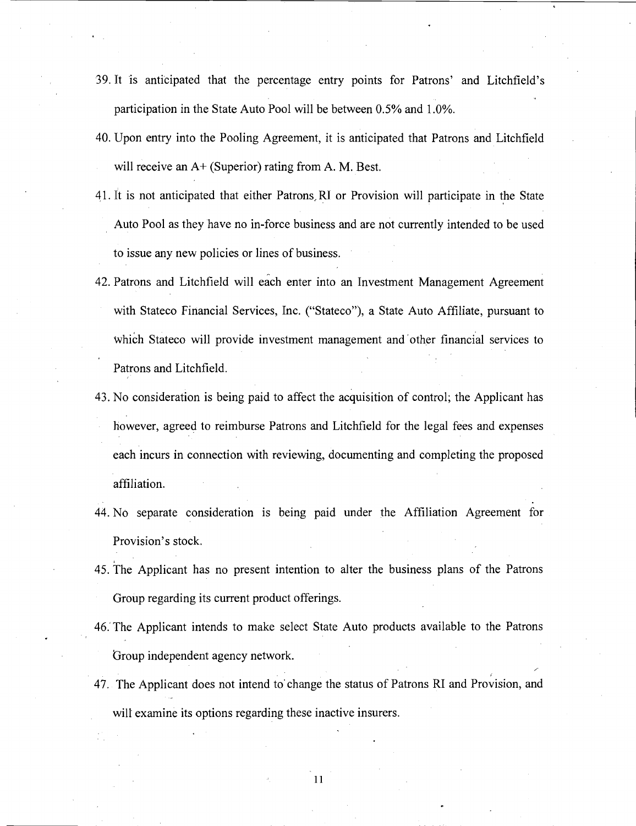- 39. It is anticipated that the percentage entry points for Patrons' and Litchfield's participation in the State Auto Pool will be between 0.5% and 1.0%.
- 40. Upon entry into the Pooling Agreement, it is anticipated that Patrons and Litchfield will receive an A+ (Superior) rating from A. M. Best.
- 41. It is not anticipated that either Patrons,RI or Provision will participate in the State Auto Pool as they have no in-force business and are not currently intended to be used to issue any new policies or lines of business.
- 42. Patrons and Litchfield will each enter into an Investment Management Agreement with Stateco Financial Services, Inc. ("Stateco"), a State Auto Affiliate, pursuant to which Stateco will provide investment management and other financial services to Patrons and Litchfield.
- 43. No consideration is being paid to affect the acquisition of control; the Applicant has however, agreed to reimburse Patrons and Litchfield for the legal fees and expenses each incurs in connection with reviewing, documenting and completing the proposed affiliation.
- 44. No separate consideration is being paid under the Affiliation Agreement for Provision's stock.
- 45. The Applicant has no present intention to alter the business plans of the Patrons Group regarding its current product offerings.
- 46. The Applicant intends to make select State Auto products available to the Patrons Group independent agency network.
- 47. The Applicant does not intend to change the status of Patrons RI and Provision, and will examine its options regarding these inactive insurers.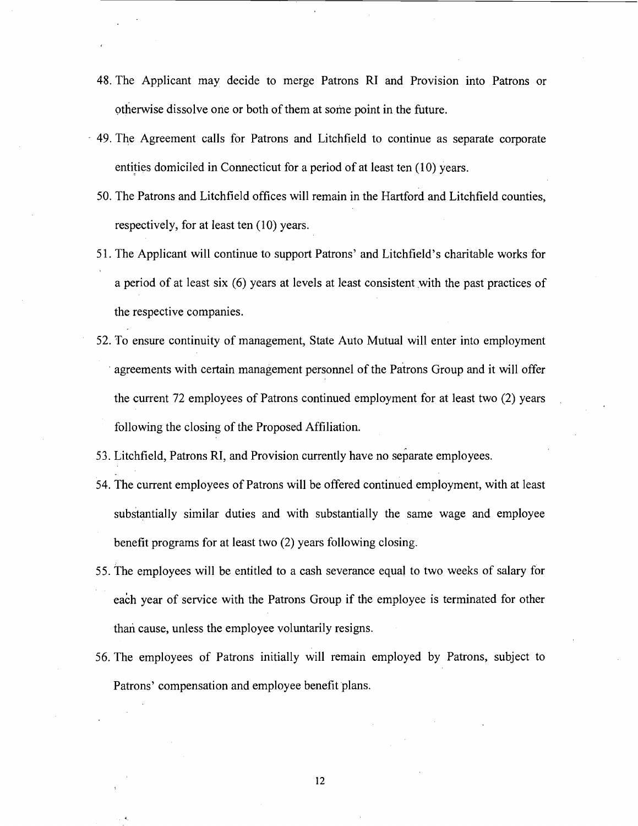- 48. The Applicant may decide to merge Patrons RI and Provision into Patrons or otherwise dissolve one or both of them at some point in the future.
- 49. The Agreement calls for Patrons and Litchfield to continue as separate corporate entities domiciled in Connecticut for a period of at least ten (10) years.
	- 50. The Patrons and Litchfield offices will remain in the Hartford and Litchfield counties, respectively, for at least ten (10) years.
	- 5 1. The Applicant will continue to support Patrons' and Litchfield's charitable works for a period of at least six (6) years at levels at least consistent with the past practices of the respective companies.
	- 52. To ensure continuity of management, State Auto Mutual will enter into employment agreements with certain management personnel of the patrons Group and it will offer the current 72 employees of Patrons continued employment for at least two (2) years following the closing of the Proposed Affiliation.
	- 53. Litchfield, Patrons RI, and Provision currently have no separate employees.
	- 54. The current employees of Patrons will be offered continued employment, with at least substantially similar duties and with substantially the same wage and employee benefit programs for at least two (2) years following closing.
- 55. The employees will be entitled to a cash severance equal to two weeks of salary for each year of service with the Patrons Group if the employee is terminated for other than cause, unless the employee voluntarily resigns.
- 56. The employees of Patrons initially will remain employed by Patrons, subject to Patrons' compensation and employee benefit plans.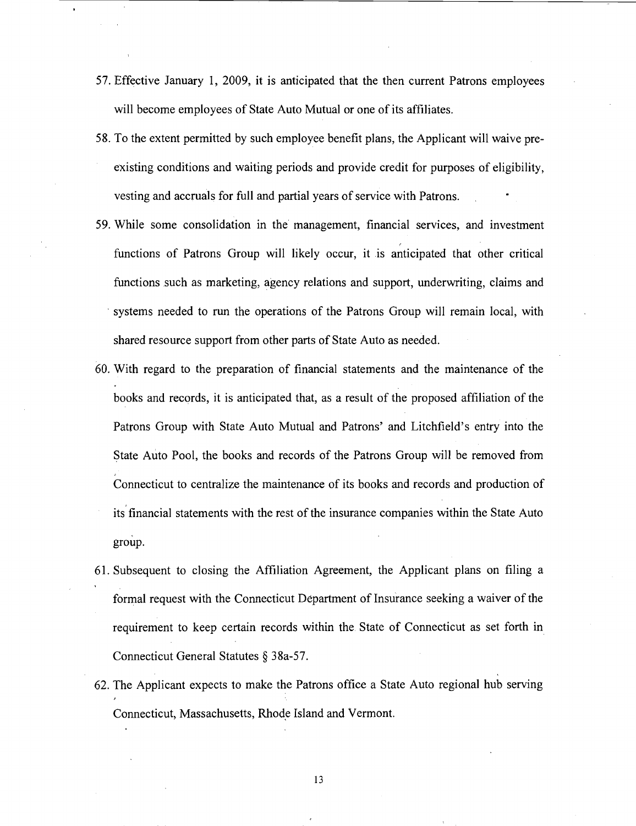- 57. Effective January 1, 2009, it is anticipated that the then current Patrons employees will become employees of State Auto Mutual or one of its affiliates.
- 58. To the extent permitted by such employee benefit plans, the Applicant will waive preexisting conditions and waiting periods and provide credit for purposes of eligibility, vesting and accruals for full and partial years of service with Patrons.
- 59. While some consolidation in the management, financial services, and investment functions of Patrons Group will likely occur, it is anticipated that other critical functions such as marketing, agency relations and support, underwriting, claims and systems needed to run the operations of the Patrons Group will remain local, with shared resource support from other parts of State Auto as needed.
- 60. With regard to the preparation of financial statements and the maintenance of the books and records, it is anticipated that, as a result of the proposed affiliation of the Patrons Group with State Auto Mutual and Patrons' and Litchfield's entry into the State Auto Pool, the books and records of the Patrons Group will be removed from Connecticut to centralize the maintenance of its books and records and production of its financial statements with the rest of the insurance companies within the State Auto group.
- 61. Subsequent to closing the Affiliation Agreement, the Applicant plans on filing a formal request with the Connecticut Department of Insurance seeking a waiver of the requirement to keep certain records within the. State of Connecticut as set forth in Connecticut General Statutes *5* 38a-57.
- 62. The Applicant expects to make the Patrons office a State Auto regional hub serving Connecticut, Massachusetts, Rhode Island and Vermont.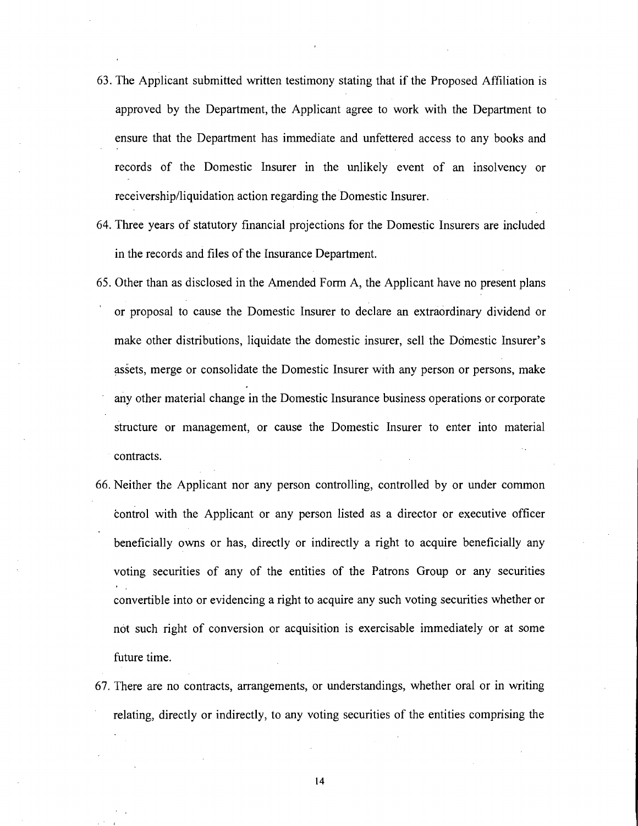- 63. The Applicant submitted written testimony stating that if the Proposed Affiliation is approved by the Department, the Applicant agree to work with the Department to ensure that the Department has immediate and unfettered access to any books and records of the Domestic Insurer in the unlikely event of an insolvency or receivership/liquidation action regarding the Domestic Insurer.
- 64. Three years of statutory financial projections for the Domestic Insurers are included in the records and files of the Insurance Department.
- 65. Other than as disclosed in the Amended Form A, the Applicant have no present plans **I**  or proposal to cause the Domestic Insurer to declare an extraordinary dividend or make other distributions, liquidate the domestic insurer, sell the Domestic Insurer's assets, merge or consolidate the Domestic Insurer with any person or persons, make any other material change in the Domestic Insurance business operations or corporate structure or management, or cause the Domestic Insurer to enter into material contracts.
- 66. Neither the Applicant nor any person controlling, controlled by or under common control with the Applicant or any person listed as a director or executive officer beneficially owns or has, directly or indirectly a right to acquire beneficially any voting securities of any of the entities of the Patrons Group or any securities convertible into or evidencing a right to acquire any such voting securities whether or not such right of conversion or acquisition is exercisable immediately or at some future time.
- 67. There are no contracts, arrangements, or understandings, whether oral or in writing relating, directly or indirectly, to any voting securities of the entities comprising the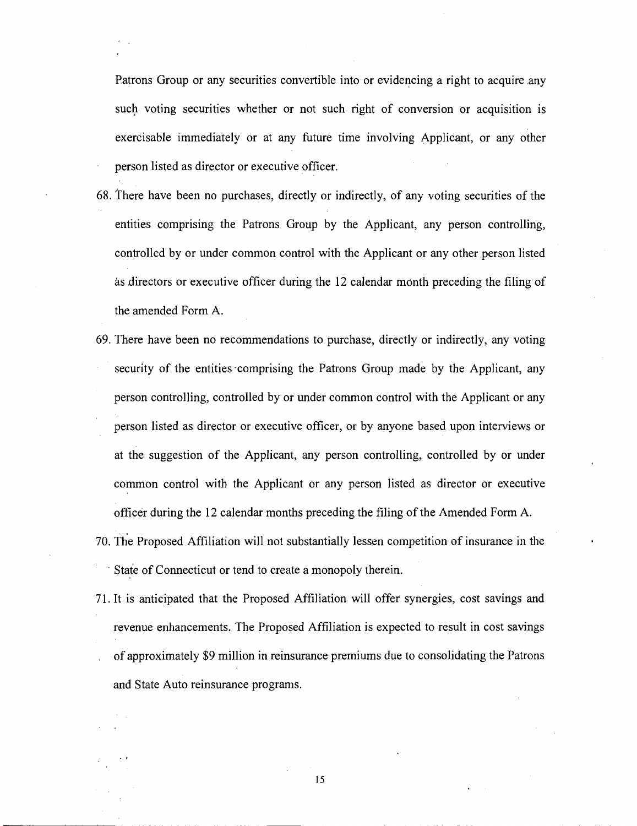Patrons Group or any securities convertible into or evidencing a right to acquire .any such voting securities whether or not such right of conversion or acquisition is exercisable immediately or at any future time involving Applicant, or any other person listed as director or executive officer.

- 68. There have been no purchases, directly or indirectly, of any voting securities of the entities comprising the Patrons Group by the Applicant, any person controlling, controlled by or under common control with the Applicant or any other person listed as directors or executive officer during the 12 calendar month preceding the filing of the amended Form A.
- 69. There have been no recommendations to purchase, directly or indirectly, any voting security of the entities comprising the Patrons Group made by the Applicant, any person controlling, controlled by or under common control with the Applicant or any person listed as director or executive officer, or by anyone based upon interviews or at the suggestion of the Applicant, any person controlling, controlled by or under common control with the Applicant or any person listed as director or executive officer during the 12 calendar months preceding the filing of the Amended Form A.
- 70. he Proposed Affiliation will not substantially lessen competition of insurance in the State of Connecticut or tend to create a monopoly therein.
- 71. It is anticipated that the Proposed Affiliation will offer synergies, cost savings and revenue enhancements. The Proposed Affiliation is expected to result in cost savings of approximately \$9 million in reinsurance premiums due to consolidating the Patrons and State Auto reinsurance programs.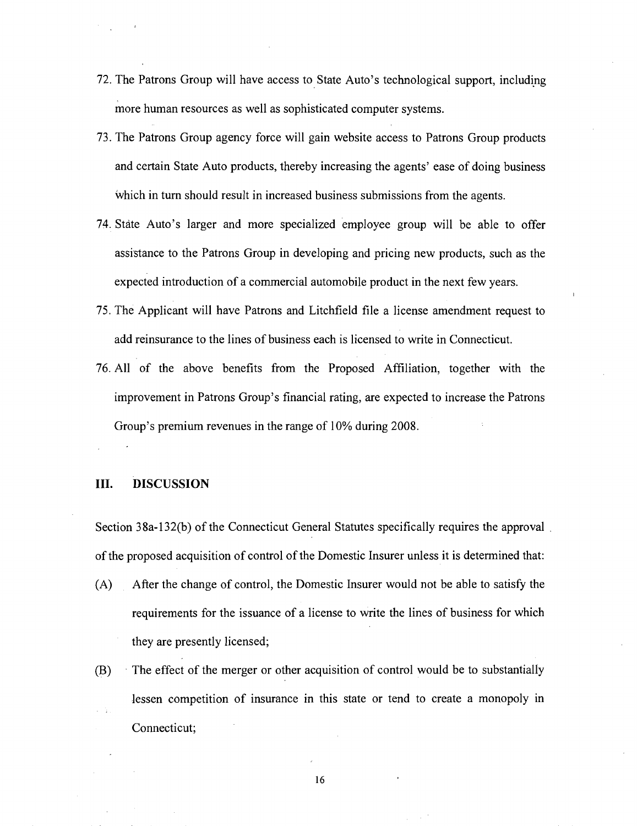- 72. The Patrons Group will have access to State Auto's technological support, including more human resources as well as sophisticated computer systems.
- 73. The Patrons Group agency force will gain website access to Patrons Group products and certain State Auto products, thereby increasing the agents' ease of doing business which in turn should result in increased business submissions from the agents.
- 74. State Auto's larger and more specialized employee group will be able to offer assistance to the Patrons Group in developing and pricing new products, such as the expected introduction of a commercial automobile product in the next few years.
- 75. The Applicant will have Patrons and Litchfield file a license amendment request to add reinsurance to the lines of business each is licensed to write in Connecticut.
- 76. All of the above benefits from the Proposed Affiliation, together with the improvement in Patrons Group's financial rating, are expected to increase the Patrons Group's premium revenues in the range of 10% during 2008.

#### **111. DISCUSSION**

Section 38a-132(b) of the Connecticut General Statutes specifically requires the approval of the proposed acquisition of control of the Domestic Insurer unless it is determined that:

- (A) After the change of control, the Domestic Insurer would not be able to satisfy the requirements for the issuance of a license to write the lines of business for which they are presently licensed;
- (B) The effect of the merger or other acquisition of control would be to substantially lessen competition of insurance in this state or tend to create a monopoly in Connecticut;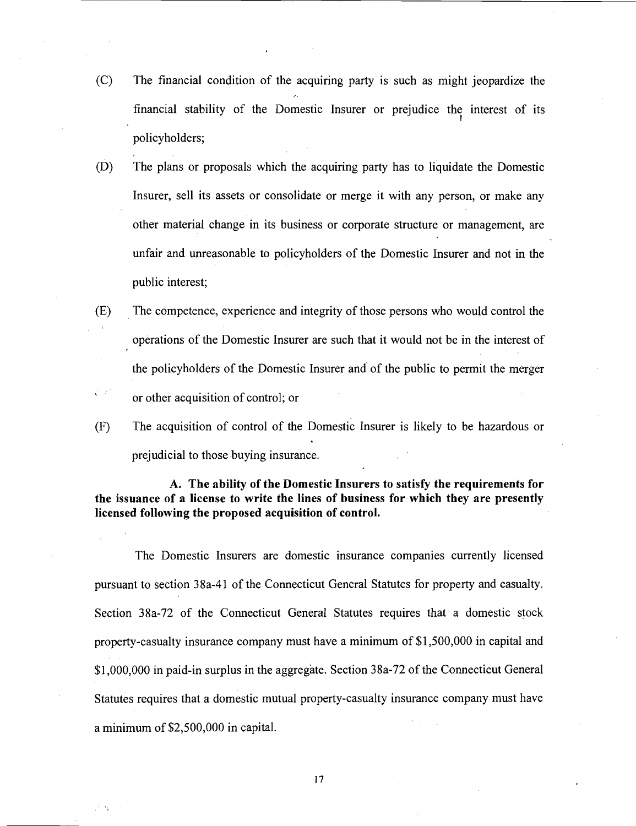- (C) The financial condition of the acquiring party is such as might jeopardize the financial stability of the Domestic Insurer or prejudice the interest of its policyholders;
- (D) The plans or proposals which the acquiring party has to liquidate the Domestic Insurer, sell its assets or consolidate or merge it with any person, or make any other material change in its business or corporate structure or management, are unfair and unreasonable to policyholders of the Domestic Insurer and not in the public interest;
- (E) The competence, experience and integrity of those persons who would control the operations of the Domestic Insurer are such that it would not be in the interest of the policyholders of the Domestic Insurer and' of the public to permit the merger **5**<sup>5</sup> or other acquisition of control; or
- $(F)$  The acquisition of control of the Domestic Insurer is likely to be hazardous or prejudicial to those buying insurance.

## **A. The ability of the Domestic Insurers to satisfy the requirements for the issuance of a license to write the lines of business for which they are presently licensed following the proposed acquisition of control.**

The Domestic Insurers are domestic insurance companies currently licensed pursuant to section 38a-41 of the Connecticut General Statutes for property and casualty. Section 38a-72 of the Connecticut General Statutes requires that a domestic stock property-casualty insurance company must have a minimum of \$1,500,000 in capital and \$1,000,000 in paid-in surplus in the aggregate. Section 38a-72 of the Connecticut General Statutes requires that a domestic mutual property-casualty insurance company must have a minimum of \$2,500,000 in capital.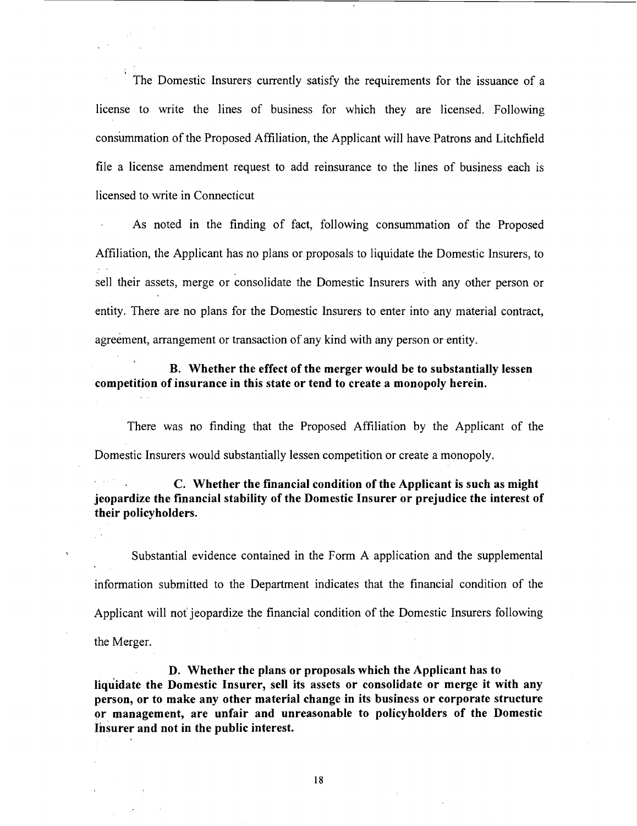The Domestic Insurers currently satisfy the requirements for the issuance of a license to write the lines of business for which they are licensed. Following consummation of the Proposed Affiliation, the Applicant will have Patrons and Litchfield file a license amendment request to add reinsurance to the lines of business each is licensed to write in Connecticut

As noted in the finding of fact, following consummation of the Proposed Affiliation, the Applicant has no plans or proposals to liquidate the Domestic Insurers, to sell their assets, merge or consolidate the Domestic Insurers with any other person or entity. There are no plans for the Domestic Insurers to enter into any material contract, agreement, arrangement or transaction of any kind with any person or entity.

## B. Whether the effect of the merger would be to substantially lessen competition of insurance in this state or tend to create a monopoly herein.

There was no finding that the Proposed Affiliation by the Applicant of the Domestic Insurers would substantially lessen competition or create a monopoly.

C. Whether the financial condition of the Applicant is such as might jeopardize the financial stability of the Domestic Insurer or prejudice the interest of their policyholders.

 $\mathbb{R}^{N}$  .

Substantial evidence contained in the Form A application and the supplemental information submitted to the Department indicates that the financial condition of the Applicant will not jeopardize the financial condition of the Domestic Insurers following the Merger.

D. Whether the plans or proposals which the Applicant has to liquidate the Domestic Insurer, sell its assets or consolidate or merge it with any person, or to make any other material change in its business or corporate structure or management, are unfair and unreasonable to policyholders of the Domestic Insurer and not in the public interest.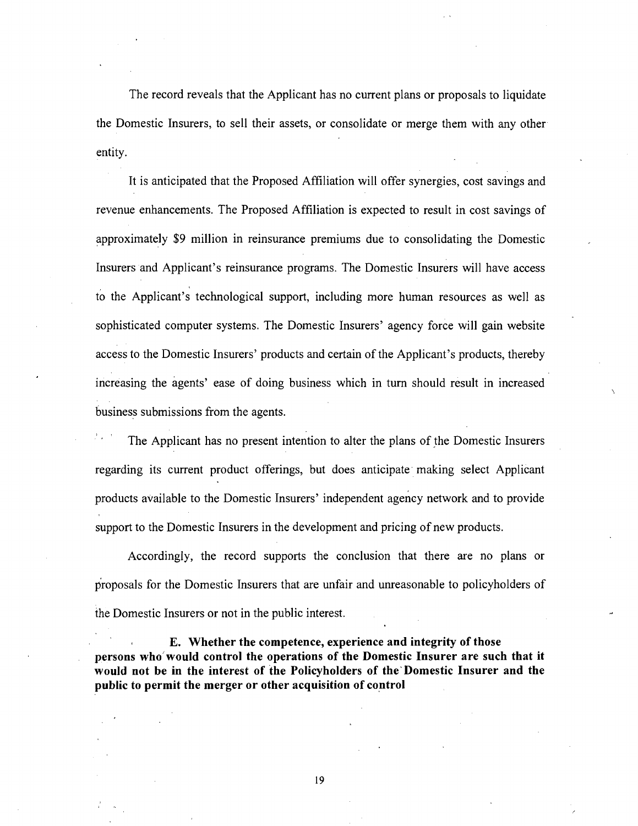The record reveals that the Applicant has no current plans or proposals to liquidate the Domestic Insurers, to sell their assets, or consolidate or merge them with any other entity.

It is anticipated that the Proposed Affiliation will offer synergies, cost savings and revenue enhancements. The Proposed Affiliation is expected to result in cost savings of approximately \$9 million in reinsurance premiums due to consolidating the Domestic Insurers and Applicant's reinsurance programs. The Domestic Insurers will have access to the Applicant's technological support, including more human resources as well as sophisticated computer systems. The Domestic Insurers' agency force will gain website access to the Domestic Insurers' products and certain of the Applicant's products, thereby increasing the agents' ease of doing business which in turn should result in increased business submissions from the agents.

The Applicant has no present intention to alter the plans of the Domestic Insurers regarding its current product offerings, but does anticipate. making select Applicant products available to the Domestic Insurers' independent agency network and to provide support to the Domestic Insurers in the development and pricing of new products.

Accordingly, the record supports the conclusion that there are no plans or proposals for the Domestic Insurers that are unfair and unreasonable to policyholders of the Domestic Insurers or not in the public interest.

**E. Whether the competence, experience and integrity of those persons who'would control the operations of the Domestic Insurer are such that it would not be in the interest of the Policyholders of the'Domestic Insurer and the public to permit the merger or other acquisition of control**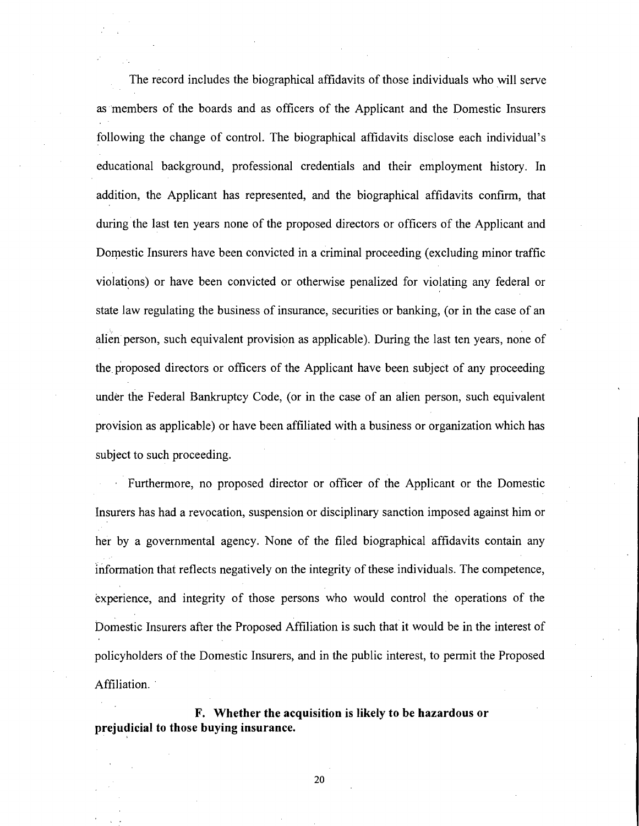The record includes the biographical affidavits of those individuals who will serve as members of the boards and as officers of the Applicant and the Domestic Insurers following the change of control. The biographical affidavits disclose each individual's educational background, professional credentials and their employment history. In addition, the Applicant has represented, and the biographical affidavits confirm, that during the last ten years none of the proposed directors or officers of the Applicant and Domestic Insurers have been convicted in a criminal proceeding (excluding minor traffic violations) or have been convicted or otherwise penalized for violating any federal or state law regulating the business of insurance, securities or banking, (or in the case of an alien person, such equivalent provision as applicable). During the last ten years, none of the proposed directors or officers of the Applicant have been subject of any proceeding under the Federal Bankruptcy Code, (or in the case of an alien person, such equivalent provision as applicable) or have been affiliated with a business or organization which has subject to such proceeding.

Furthermore, no proposed director or officer of the Applicant or the Domestic Insurers has had a revocation, suspension or disciplinary sanction imposed against him or her by a governmental agency. None of the filed biographical affidavits contain any information that reflects negatively on the integrity of these individuals. The competence, experience, and integrity of those persons who would control the operations of the Domestic Insurers after the Proposed Affiliation is such that it would be in the interest of policyholders of the Domestic Insurers, and in the public interest, to permit the Proposed Affiliation.

**F. Whether the acquisition is likely to be hazardous or prejudicial to those buying insurance.**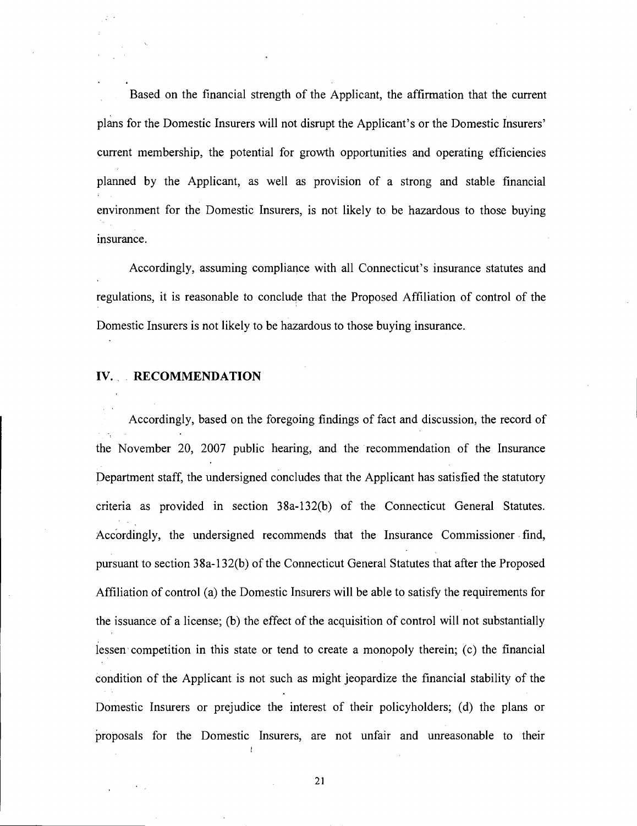Based on the financial strength of the Applicant, the affirmation that the current for the Domestic Insurers will not disrupt the Applicant's or the Domestic Insurers' current membership, the potential for growth opportunities and operating efficiencies planned by the Applicant, as well as provision of a strong and stable financial environment for the Domestic Insurers, is not likely to be hazardous to those buying insurance.

Accordingly, assuming compliance with all Connecticut's insurance statutes and regulations, it is reasonable to conclude that the Proposed Affiliation of control of the Domestic Insurers is not likely to be hazardous to those buying insurance.

#### **IV. RECOMMENDATION**

Accordingly, based on the foregoing findings of fact and discussion, the record of the November 20, 2007 public hearing, and the recommendation of the Insurance Department staff, the undersigned concludes that the Applicant has satisfied the statutory criteria as provided in section 38a-132(b) of the Connecticut General Statutes. Accordingly, the undersigned recommends that the Insurance Commissioner find, pursuant to section 38a-132(b) of the Connecticut General Statutes that after the Proposed Affiliation of control (a) the Domestic Insurers will be able to satisfy the requirements for the issuance of a license; (b) the effect of the acquisition of control will not substantially lessen competition in this state or tend to create a monopoly therein; (c) the financial condition of the Applicant is not such as might jeopardize the financial stability of the Domestic Insurers or prejudice the interest of their policyholders; (d) the plans or proposals for the Domestic Insurers, are not unfair and unreasonable to their

I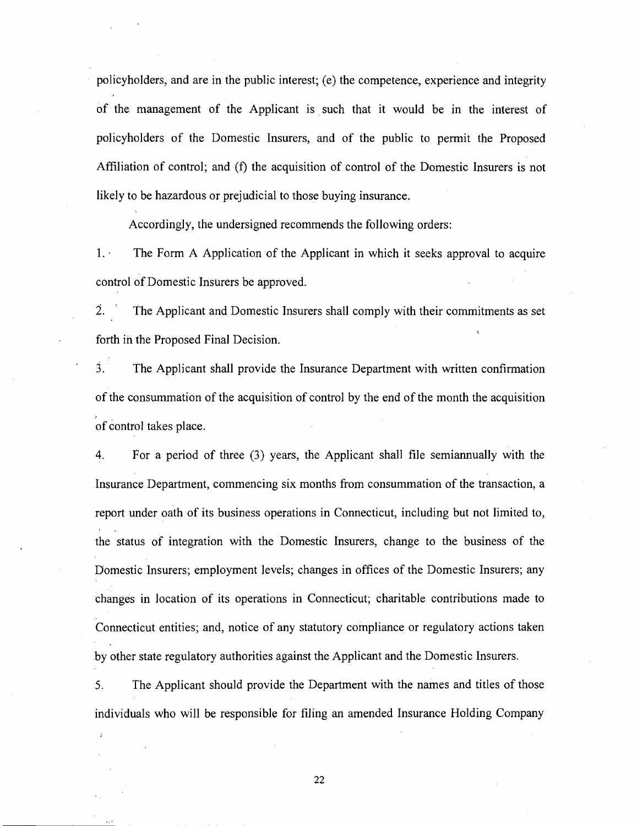policyholders, and are in the public interest; (e) the competence, experience and integrity of the management of the Applicant is such that it would be in the interest of policyholders of the Domestic Insurers, and of the public to permit the Proposed Affiliation of control; and (f) the acquisition of control of the Domestic Insurers is not likely to be hazardous or prejudicial to those buying insurance.

Accordingly, the undersigned recommends the following orders:

1. The Form A Application of the Applicant in which it seeks approval to acquire control of Domestic Insurers be approved.

2. ' The Applicant and Domestic Insurers shall comply with their commitments as set forth in the Proposed Final Decision.

**3.** The Applicant shall provide the Insurance Department with written confirmation of the consummation of the acquisition of control by the end of the month the acquisition of control takes place.

4. For a period of three (3) years, the Applicant shall file semiannually with the Insurance Department, commencing six months from consummation of the transaction, a report under oath of its business operations in Connecticut, including but not limited to, the status of integration with the Domestic Insurers, change to the business of the Domestic Insurers; employment levels; changes in offices of the Domestic Insurers; any changes in location of its operations in Connecticut; charitable contributions made to Connecticut entities; and, notice of any statutory compliance or regulatory actions taken by other state regulatory authorities against the Applicant and the Domestic Insurers.

**5.** The Applicant should provide the Department with the names and titles of those individuals who will be responsible for filing an amended Insurance Holding Company